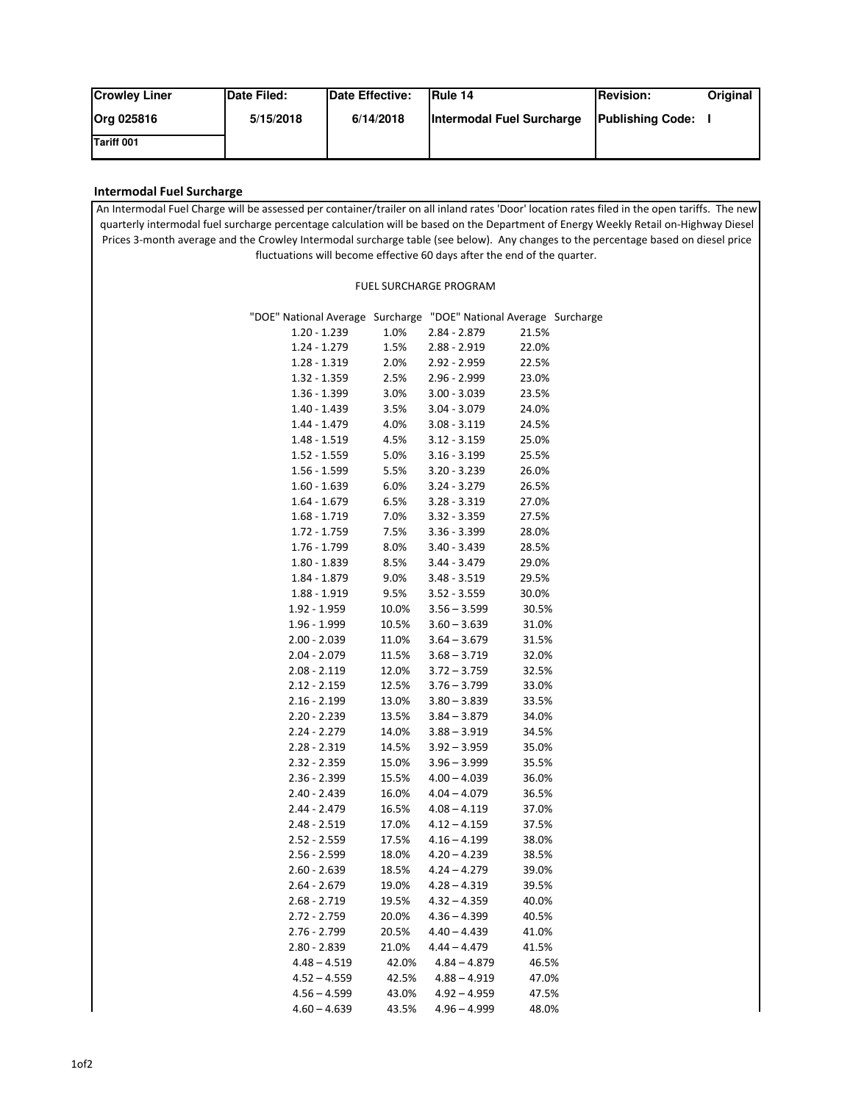| <b>Crowley Liner</b> | Date Filed: | Date Effective: | <b>IRule 14</b>           | <b>IRevision:</b>       | <b>Original</b> |
|----------------------|-------------|-----------------|---------------------------|-------------------------|-----------------|
| Org 025816           | 5/15/2018   | 6/14/2018       | Intermodal Fuel Surcharge | <b>Publishing Code:</b> |                 |
| <b>Tariff 001</b>    |             |                 |                           |                         |                 |

## **Intermodal Fuel Surcharge**

An Intermodal Fuel Charge will be assessed per container/trailer on all inland rates 'Door' location rates filed in the open tariffs. The new quarterly intermodal fuel surcharge percentage calculation will be based on the Department of Energy Weekly Retail on-Highway Diesel Prices 3-month average and the Crowley Intermodal surcharge table (see below). Any changes to the percentage based on diesel price fluctuations will become effective 60 days after the end of the quarter.

## FUEL SURCHARGE PROGRAM

| "DOE" National Average Surcharge "DOE" National Average Surcharge |       |                |       |  |
|-------------------------------------------------------------------|-------|----------------|-------|--|
| $1.20 - 1.239$                                                    | 1.0%  | $2.84 - 2.879$ | 21.5% |  |
| $1.24 - 1.279$                                                    | 1.5%  | 2.88 - 2.919   | 22.0% |  |
| $1.28 - 1.319$                                                    | 2.0%  | 2.92 - 2.959   | 22.5% |  |
| $1.32 - 1.359$                                                    | 2.5%  | 2.96 - 2.999   | 23.0% |  |
| 1.36 - 1.399                                                      | 3.0%  | $3.00 - 3.039$ | 23.5% |  |
| $1.40 - 1.439$                                                    | 3.5%  | $3.04 - 3.079$ | 24.0% |  |
| 1.44 - 1.479                                                      | 4.0%  | $3.08 - 3.119$ | 24.5% |  |
| $1.48 - 1.519$                                                    | 4.5%  | $3.12 - 3.159$ | 25.0% |  |
| $1.52 - 1.559$                                                    | 5.0%  | $3.16 - 3.199$ | 25.5% |  |
| $1.56 - 1.599$                                                    | 5.5%  | $3.20 - 3.239$ | 26.0% |  |
| $1.60 - 1.639$                                                    | 6.0%  | $3.24 - 3.279$ | 26.5% |  |
| $1.64 - 1.679$                                                    | 6.5%  | $3.28 - 3.319$ | 27.0% |  |
| $1.68 - 1.719$                                                    | 7.0%  | $3.32 - 3.359$ | 27.5% |  |
| $1.72 - 1.759$                                                    | 7.5%  | $3.36 - 3.399$ | 28.0% |  |
| $1.76 - 1.799$                                                    | 8.0%  | $3.40 - 3.439$ | 28.5% |  |
| $1.80 - 1.839$                                                    | 8.5%  | $3.44 - 3.479$ | 29.0% |  |
| $1.84 - 1.879$                                                    | 9.0%  | $3.48 - 3.519$ | 29.5% |  |
| 1.88 - 1.919                                                      | 9.5%  | $3.52 - 3.559$ | 30.0% |  |
| 1.92 - 1.959                                                      | 10.0% | $3.56 - 3.599$ | 30.5% |  |
| 1.96 - 1.999                                                      | 10.5% | $3.60 - 3.639$ | 31.0% |  |
| $2.00 - 2.039$                                                    | 11.0% | $3.64 - 3.679$ | 31.5% |  |
| $2.04 - 2.079$                                                    | 11.5% | $3.68 - 3.719$ | 32.0% |  |
| $2.08 - 2.119$                                                    | 12.0% | $3.72 - 3.759$ | 32.5% |  |
| $2.12 - 2.159$                                                    | 12.5% | $3.76 - 3.799$ | 33.0% |  |
| $2.16 - 2.199$                                                    | 13.0% | $3.80 - 3.839$ | 33.5% |  |
| 2.20 - 2.239                                                      | 13.5% | $3.84 - 3.879$ | 34.0% |  |
| 2.24 - 2.279                                                      | 14.0% | $3.88 - 3.919$ | 34.5% |  |
| 2.28 - 2.319                                                      | 14.5% | $3.92 - 3.959$ | 35.0% |  |
| 2.32 - 2.359                                                      | 15.0% | $3.96 - 3.999$ | 35.5% |  |
| $2.36 - 2.399$                                                    | 15.5% | $4.00 - 4.039$ | 36.0% |  |
| $2.40 - 2.439$                                                    | 16.0% | $4.04 - 4.079$ | 36.5% |  |
| 2.44 - 2.479                                                      | 16.5% | $4.08 - 4.119$ | 37.0% |  |
| $2.48 - 2.519$                                                    | 17.0% | $4.12 - 4.159$ | 37.5% |  |
| $2.52 - 2.559$                                                    | 17.5% | $4.16 - 4.199$ | 38.0% |  |
| 2.56 - 2.599                                                      | 18.0% | $4.20 - 4.239$ | 38.5% |  |
| $2.60 - 2.639$                                                    | 18.5% | $4.24 - 4.279$ | 39.0% |  |
| $2.64 - 2.679$                                                    | 19.0% | $4.28 - 4.319$ | 39.5% |  |
| $2.68 - 2.719$                                                    | 19.5% | $4.32 - 4.359$ | 40.0% |  |
| 2.72 - 2.759                                                      | 20.0% | $4.36 - 4.399$ | 40.5% |  |
| $2.76 - 2.799$                                                    | 20.5% | $4.40 - 4.439$ | 41.0% |  |
| 2.80 - 2.839                                                      | 21.0% | $4.44 - 4.479$ | 41.5% |  |
| $4.48 - 4.519$                                                    | 42.0% | $4.84 - 4.879$ | 46.5% |  |
| $4.52 - 4.559$                                                    | 42.5% | $4.88 - 4.919$ | 47.0% |  |
| $4.56 - 4.599$                                                    | 43.0% | $4.92 - 4.959$ | 47.5% |  |
| $4.60 - 4.639$                                                    | 43.5% | $4.96 - 4.999$ | 48.0% |  |